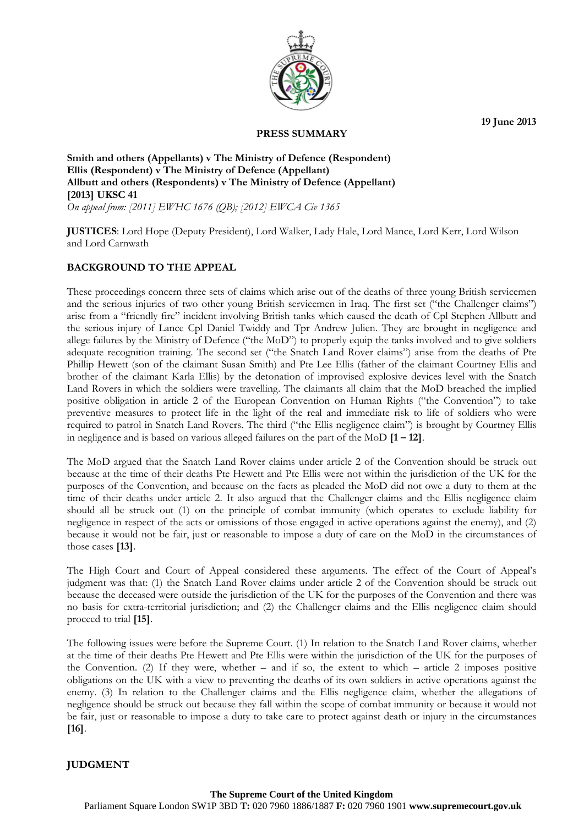

**PRESS SUMMARY** 

**19 June 2013** 

## **Smith and others (Appellants) v The Ministry of Defence (Respondent) Ellis (Respondent) v The Ministry of Defence (Appellant) Allbutt and others (Respondents) v The Ministry of Defence (Appellant) [2013] UKSC 41**  *On appeal from: [2011] EWHC 1676 (QB); [2012] EWCA Civ 1365*

**JUSTICES**: Lord Hope (Deputy President), Lord Walker, Lady Hale, Lord Mance, Lord Kerr, Lord Wilson and Lord Carnwath

## **BACKGROUND TO THE APPEAL**

 in negligence and is based on various alleged failures on the part of the MoD **[1 – 12]**. These proceedings concern three sets of claims which arise out of the deaths of three young British servicemen and the serious injuries of two other young British servicemen in Iraq. The first set ("the Challenger claims") arise from a "friendly fire" incident involving British tanks which caused the death of Cpl Stephen Allbutt and the serious injury of Lance Cpl Daniel Twiddy and Tpr Andrew Julien. They are brought in negligence and allege failures by the Ministry of Defence ("the MoD") to properly equip the tanks involved and to give soldiers adequate recognition training. The second set ("the Snatch Land Rover claims") arise from the deaths of Pte Phillip Hewett (son of the claimant Susan Smith) and Pte Lee Ellis (father of the claimant Courtney Ellis and brother of the claimant Karla Ellis) by the detonation of improvised explosive devices level with the Snatch Land Rovers in which the soldiers were travelling. The claimants all claim that the MoD breached the implied positive obligation in article 2 of the European Convention on Human Rights ("the Convention") to take preventive measures to protect life in the light of the real and immediate risk to life of soldiers who were required to patrol in Snatch Land Rovers. The third ("the Ellis negligence claim") is brought by Courtney Ellis

The MoD argued that the Snatch Land Rover claims under article 2 of the Convention should be struck out because at the time of their deaths Pte Hewett and Pte Ellis were not within the jurisdiction of the UK for the purposes of the Convention, and because on the facts as pleaded the MoD did not owe a duty to them at the time of their deaths under article 2. It also argued that the Challenger claims and the Ellis negligence claim should all be struck out (1) on the principle of combat immunity (which operates to exclude liability for negligence in respect of the acts or omissions of those engaged in active operations against the enemy), and (2) because it would not be fair, just or reasonable to impose a duty of care on the MoD in the circumstances of those cases **[13]**.

The High Court and Court of Appeal considered these arguments. The effect of the Court of Appeal's judgment was that: (1) the Snatch Land Rover claims under article 2 of the Convention should be struck out because the deceased were outside the jurisdiction of the UK for the purposes of the Convention and there was no basis for extra-territorial jurisdiction; and (2) the Challenger claims and the Ellis negligence claim should proceed to trial **[15]**.

The following issues were before the Supreme Court. (1) In relation to the Snatch Land Rover claims, whether at the time of their deaths Pte Hewett and Pte Ellis were within the jurisdiction of the UK for the purposes of the Convention. (2) If they were, whether – and if so, the extent to which – article 2 imposes positive obligations on the UK with a view to preventing the deaths of its own soldiers in active operations against the enemy. (3) In relation to the Challenger claims and the Ellis negligence claim, whether the allegations of negligence should be struck out because they fall within the scope of combat immunity or because it would not be fair, just or reasonable to impose a duty to take care to protect against death or injury in the circumstances **[16]**.

## **JUDGMENT**